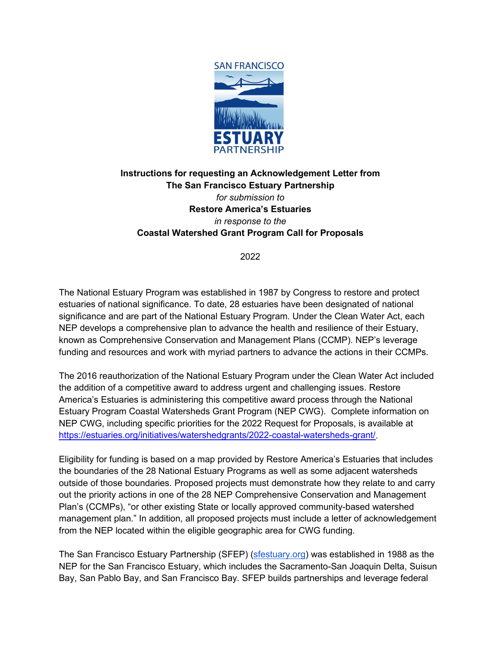

# **Instructions for requesting an Acknowledgement Letter from The San Francisco Estuary Partnership** *for submission to*  **Restore America's Estuaries**  *in response to the*  **Coastal Watershed Grant Program Call for Proposals**

#### 2022

The National Estuary Program was established in 1987 by Congress to restore and protect estuaries of national significance. To date, 28 estuaries have been designated of national significance and are part of the National Estuary Program. Under the Clean Water Act, each NEP develops a comprehensive plan to advance the health and resilience of their Estuary, known as Comprehensive Conservation and Management Plans (CCMP). NEP's leverage funding and resources and work with myriad partners to advance the actions in their CCMPs.

The 2016 reauthorization of the National Estuary Program under the Clean Water Act included the addition of a competitive award to address urgent and challenging issues. Restore America's Estuaries is administering this competitive award process through the National Estuary Program Coastal Watersheds Grant Program (NEP CWG). Complete information on NEP CWG, including specific priorities for the 2022 Request for Proposals, is available at [https://estuaries.org/initiatives/watershedgrants/2022-coastal-watersheds-grant/.](https://estuaries.org/initiatives/watershedgrants/2022-coastal-watersheds-grant/)

Eligibility for funding is based on a map provided by Restore America's Estuaries that includes the boundaries of the 28 National Estuary Programs as well as some adjacent watersheds outside of those boundaries. Proposed projects must demonstrate how they relate to and carry out the priority actions in one of the 28 NEP Comprehensive Conservation and Management Plan's (CCMPs), "or other existing State or locally approved community-based watershed management plan." In addition, all proposed projects must include a letter of acknowledgement from the NEP located within the eligible geographic area for CWG funding.

The San Francisco Estuary Partnership (SFEP) [\(sfestuary.org\)](https://www.sfestuary.org/) was established in 1988 as the NEP for the San Francisco Estuary, which includes the Sacramento-San Joaquin Delta, Suisun Bay, San Pablo Bay, and San Francisco Bay. SFEP builds partnerships and leverage federal